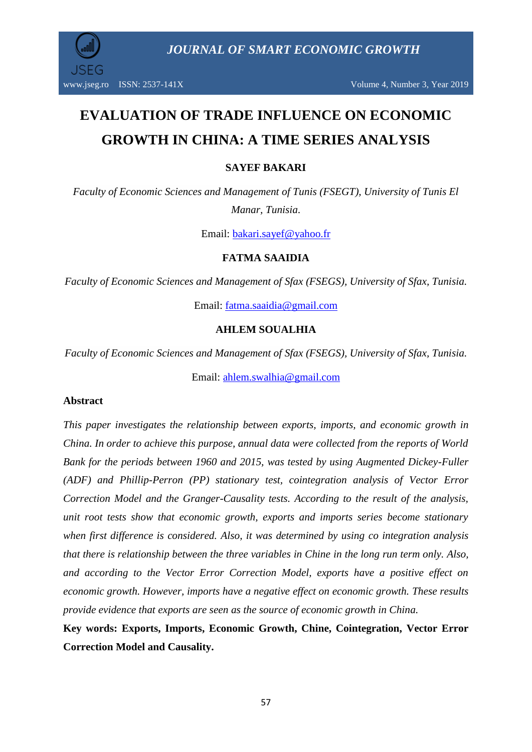# **EVALUATION OF TRADE INFLUENCE ON ECONOMIC GROWTH IN CHINA: A TIME SERIES ANALYSIS**

#### **SAYEF BAKARI**

*Faculty of Economic Sciences and Management of Tunis (FSEGT), University of Tunis El Manar, Tunisia.*

Email: [bakari.sayef@yahoo.fr](mailto:bakari.sayef@yahoo.fr)

#### **FATMA SAAIDIA**

*Faculty of Economic Sciences and Management of Sfax (FSEGS), University of Sfax, Tunisia.*

Email: [fatma.saaidia@gmail.com](mailto:fatma.saaidia@gmail.com)

#### **AHLEM SOUALHIA**

*Faculty of Economic Sciences and Management of Sfax (FSEGS), University of Sfax, Tunisia.*

Email: [ahlem.swalhia@gmail.com](mailto:ahlem.swalhia@gmail.com)

#### **Abstract**

*This paper investigates the relationship between exports, imports, and economic growth in China. In order to achieve this purpose, annual data were collected from the reports of World Bank for the periods between 1960 and 2015, was tested by using Augmented Dickey-Fuller (ADF) and Phillip-Perron (PP) stationary test, cointegration analysis of Vector Error Correction Model and the Granger-Causality tests. According to the result of the analysis, unit root tests show that economic growth, exports and imports series become stationary when first difference is considered. Also, it was determined by using co integration analysis that there is relationship between the three variables in Chine in the long run term only. Also, and according to the Vector Error Correction Model, exports have a positive effect on economic growth. However, imports have a negative effect on economic growth. These results provide evidence that exports are seen as the source of economic growth in China.* 

**Key words: Exports, Imports, Economic Growth, Chine, Cointegration, Vector Error Correction Model and Causality.**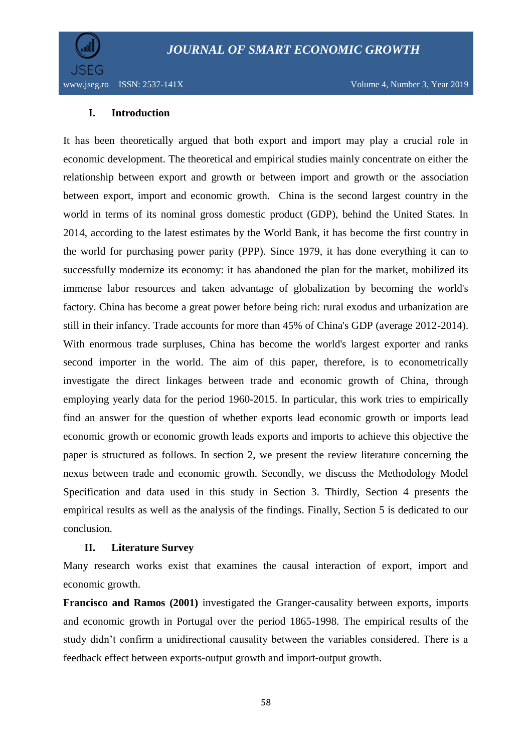

#### **I. Introduction**

It has been theoretically argued that both export and import may play a crucial role in economic development. The theoretical and empirical studies mainly concentrate on either the relationship between export and growth or between import and growth or the association between export, import and economic growth. China is the second largest country in the world in terms of its nominal gross domestic product (GDP), behind the United States. In 2014, according to the latest estimates by the World Bank, it has become the first country in the world for purchasing power parity (PPP). Since 1979, it has done everything it can to successfully modernize its economy: it has abandoned the plan for the market, mobilized its immense labor resources and taken advantage of globalization by becoming the world's factory. China has become a great power before being rich: rural exodus and urbanization are still in their infancy. Trade accounts for more than 45% of China's GDP (average 2012-2014). With enormous trade surpluses, China has become the world's largest exporter and ranks second importer in the world. The aim of this paper, therefore, is to econometrically investigate the direct linkages between trade and economic growth of China, through employing yearly data for the period 1960-2015. In particular, this work tries to empirically find an answer for the question of whether exports lead economic growth or imports lead economic growth or economic growth leads exports and imports to achieve this objective the paper is structured as follows. In section 2, we present the review literature concerning the nexus between trade and economic growth. Secondly, we discuss the Methodology Model Specification and data used in this study in Section 3. Thirdly, Section 4 presents the empirical results as well as the analysis of the findings. Finally, Section 5 is dedicated to our conclusion.

#### **II. Literature Survey**

Many research works exist that examines the causal interaction of export, import and economic growth.

**Francisco and Ramos (2001)** investigated the Granger-causality between exports, imports and economic growth in Portugal over the period 1865-1998. The empirical results of the study didn't confirm a unidirectional causality between the variables considered. There is a feedback effect between exports-output growth and import-output growth.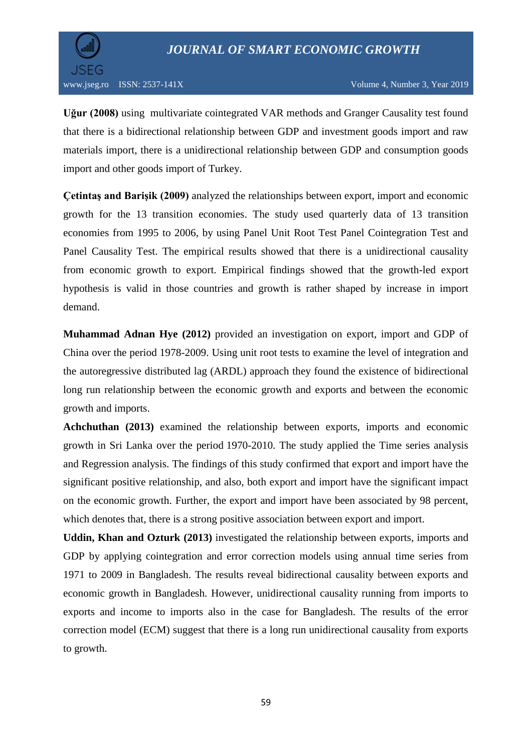

**Uğur (2008)** using multivariate cointegrated VAR methods and Granger Causality test found that there is a bidirectional relationship between GDP and investment goods import and raw materials import, there is a unidirectional relationship between GDP and consumption goods import and other goods import of Turkey.

**Çetintaş and Barişik (2009)** analyzed the relationships between export, import and economic growth for the 13 transition economies. The study used quarterly data of 13 transition economies from 1995 to 2006, by using Panel Unit Root Test Panel Cointegration Test and Panel Causality Test. The empirical results showed that there is a unidirectional causality from economic growth to export. Empirical findings showed that the growth-led export hypothesis is valid in those countries and growth is rather shaped by increase in import demand.

**Muhammad Adnan Hye (2012)** provided an investigation on export, import and GDP of China over the period 1978-2009. Using unit root tests to examine the level of integration and the autoregressive distributed lag (ARDL) approach they found the existence of bidirectional long run relationship between the economic growth and exports and between the economic growth and imports.

**Achchuthan (2013)** examined the relationship between exports, imports and economic growth in Sri Lanka over the period 1970-2010. The study applied the Time series analysis and Regression analysis. The findings of this study confirmed that export and import have the significant positive relationship, and also, both export and import have the significant impact on the economic growth. Further, the export and import have been associated by 98 percent, which denotes that, there is a strong positive association between export and import.

**Uddin, Khan and Ozturk (2013)** investigated the relationship between exports, imports and GDP by applying cointegration and error correction models using annual time series from 1971 to 2009 in Bangladesh. The results reveal bidirectional causality between exports and economic growth in Bangladesh. However, unidirectional causality running from imports to exports and income to imports also in the case for Bangladesh. The results of the error correction model (ECM) suggest that there is a long run unidirectional causality from exports to growth.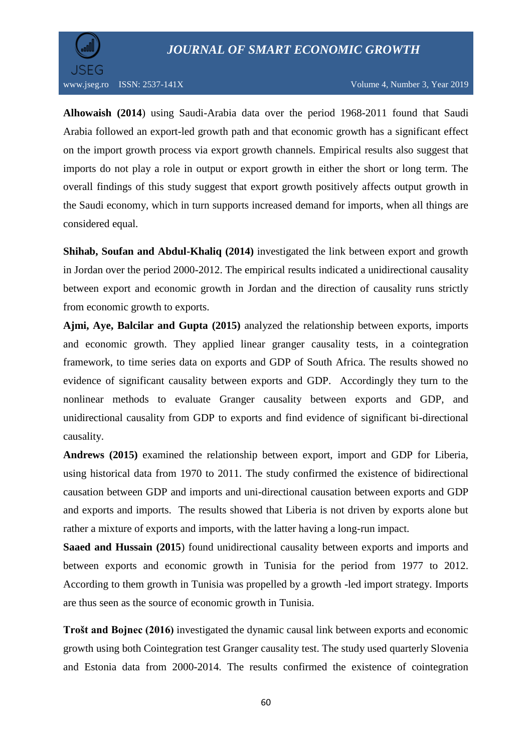

**[Alhowaish](https://www.researchgate.net/profile/Abdulkarim_Alhowaish) (2014**) using Saudi-Arabia data over the period 1968-2011 found that Saudi Arabia followed an export-led growth path and that economic growth has a significant effect on the import growth process via export growth channels. Empirical results also suggest that imports do not play a role in output or export growth in either the short or long term. The overall findings of this study suggest that export growth positively affects output growth in the Saudi economy, which in turn supports increased demand for imports, when all things are considered equal.

**Shihab, Soufan and Abdul-Khaliq (2014)** investigated the link between export and growth in Jordan over the period 2000-2012. The empirical results indicated a unidirectional causality between export and economic growth in Jordan and the direction of causality runs strictly from economic growth to exports.

**Ajmi, Aye, Balcilar and Gupta (2015)** analyzed the relationship between exports, imports and economic growth. They applied linear granger causality tests, in a cointegration framework, to time series data on exports and GDP of South Africa. The results showed no evidence of significant causality between exports and GDP. Accordingly they turn to the nonlinear methods to evaluate Granger causality between exports and GDP, and unidirectional causality from GDP to exports and find evidence of significant bi-directional causality.

**Andrews (2015)** examined the relationship between export, import and GDP for Liberia, using historical data from 1970 to 2011. The study confirmed the existence of bidirectional causation between GDP and imports and uni-directional causation between exports and GDP and exports and imports. The results showed that Liberia is not driven by exports alone but rather a mixture of exports and imports, with the latter having a long-run impact.

**Saaed and Hussain (2015**) found unidirectional causality between exports and imports and between exports and economic growth in Tunisia for the period from 1977 to 2012. According to them growth in Tunisia was propelled by a growth -led import strategy. Imports are thus seen as the source of economic growth in Tunisia.

**Trošt and Bojnec (2016)** investigated the dynamic causal link between exports and economic growth using both Cointegration test Granger causality test. The study used quarterly Slovenia and Estonia data from 2000-2014. The results confirmed the existence of cointegration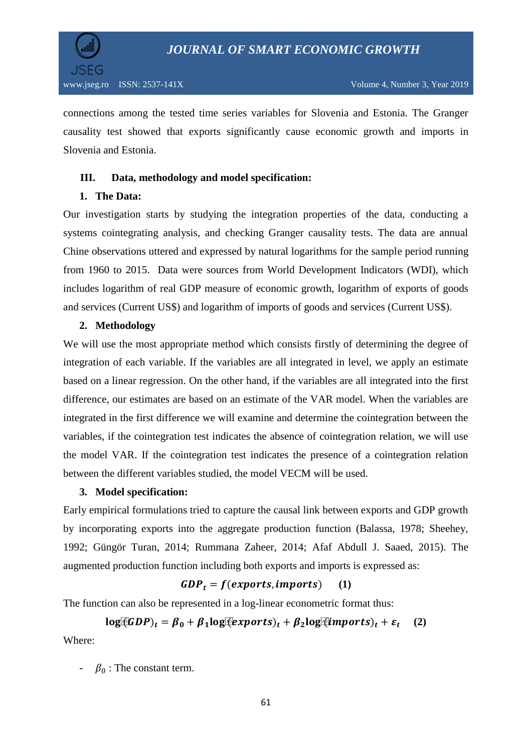

connections among the tested time series variables for Slovenia and Estonia. The Granger causality test showed that exports significantly cause economic growth and imports in Slovenia and Estonia.

#### **III. Data, methodology and model specification:**

#### **1. The Data:**

Our investigation starts by studying the integration properties of the data, conducting a systems cointegrating analysis, and checking Granger causality tests. The data are annual Chine observations uttered and expressed by natural logarithms for the sample period running from 1960 to 2015. Data were sources from World Development Indicators (WDI), which includes logarithm of real GDP measure of economic growth, logarithm of exports of goods and services (Current US\$) and logarithm of imports of goods and services (Current US\$).

#### **2. Methodology**

We will use the most appropriate method which consists firstly of determining the degree of integration of each variable. If the variables are all integrated in level, we apply an estimate based on a linear regression. On the other hand, if the variables are all integrated into the first difference, our estimates are based on an estimate of the VAR model. When the variables are integrated in the first difference we will examine and determine the cointegration between the variables, if the cointegration test indicates the absence of cointegration relation, we will use the model VAR. If the cointegration test indicates the presence of a cointegration relation between the different variables studied, the model VECM will be used.

#### **3. Model specification:**

Early empirical formulations tried to capture the causal link between exports and GDP growth by incorporating exports into the aggregate production function (Balassa, 1978; Sheehey, 1992; Güngör Turan, 2014; Rummana Zaheer, 2014; Afaf Abdull J. Saaed, 2015). The augmented production function including both exports and imports is expressed as:

#### $GDP_t = f(exports, imports)$  (1)

The function can also be represented in a log-linear econometric format thus:

#### $log(GDP)_t = \beta_0 + \beta_1 log(exports)_t + \beta_2 log(limports)_t + \varepsilon_t$  **(2)**

Where:

-  $\beta_0$ : The constant term.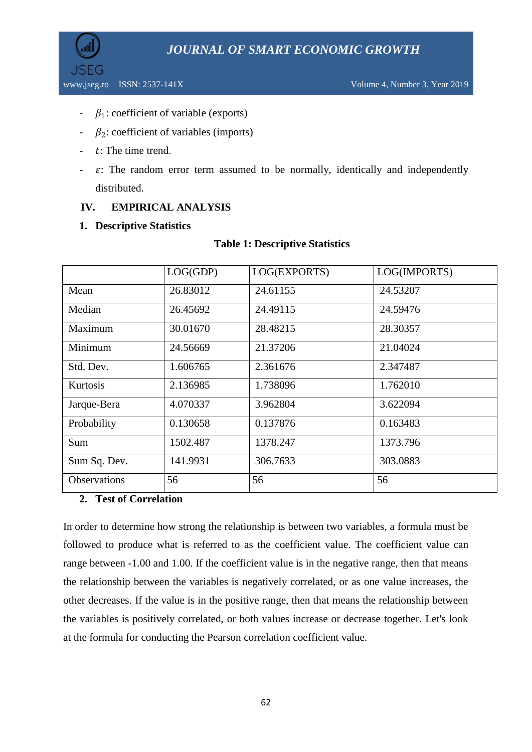

- $\beta_1$ : coefficient of variable (exports)
- $\beta_2$ : coefficient of variables (imports)
- $t$ : The time trend.
- $\varepsilon$ : The random error term assumed to be normally, identically and independently distributed.

#### **IV. EMPIRICAL ANALYSIS**

#### **1. Descriptive Statistics**

#### **Table 1: Descriptive Statistics**

|                     | LOG(GDP) | LOG(EXPORTS) | LOG(IMPORTS) |
|---------------------|----------|--------------|--------------|
| Mean                | 26.83012 | 24.61155     | 24.53207     |
| Median              | 26.45692 | 24.49115     | 24.59476     |
| Maximum             | 30.01670 | 28.48215     | 28.30357     |
| Minimum             | 24.56669 | 21.37206     | 21.04024     |
| Std. Dev.           | 1.606765 | 2.361676     | 2.347487     |
| Kurtosis            | 2.136985 | 1.738096     | 1.762010     |
| Jarque-Bera         | 4.070337 | 3.962804     | 3.622094     |
| Probability         | 0.130658 | 0.137876     | 0.163483     |
| Sum                 | 1502.487 | 1378.247     | 1373.796     |
| Sum Sq. Dev.        | 141.9931 | 306.7633     | 303.0883     |
| <b>Observations</b> | 56       | 56           | 56           |

#### **2. Test of Correlation**

In order to determine how strong the relationship is between two variables, a formula must be followed to produce what is referred to as the coefficient value. The coefficient value can range between -1.00 and 1.00. If the coefficient value is in the negative range, then that means the relationship between the variables is negatively correlated, or as one value increases, the other decreases. If the value is in the positive range, then that means the relationship between the variables is positively correlated, or both values increase or decrease together. Let's look at the formula for conducting the Pearson correlation coefficient value.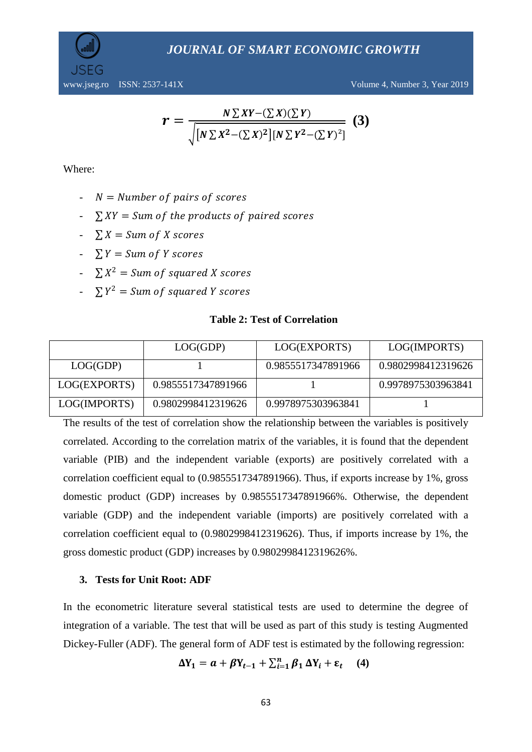

www.jseg.ro ISSN: 2537-141X Volume 4, Number 3, Year 2019

$$
r = \frac{N \sum XY - (\sum X)(\sum Y)}{\sqrt{[N \sum X^2 - (\sum X)^2][N \sum Y^2 - (\sum Y)^2]}} (3)
$$

Where:

- $N =$  Number of pairs of scores
- $\sum XY = Sum$  of the products of paired scores
- $\sum X = Sum of X scores$
- $\sum Y = Sum$  of Y scores
- $\sum X^2 = Sum$  of squared X scores
- $\sum Y^2 = Sum \ of \ squared \ Y \ scores$

#### **Table 2: Test of Correlation**

|              | LOG(GDP)           | LOG(EXPORTS)       | LOG(IMPORTS)       |
|--------------|--------------------|--------------------|--------------------|
| LOG(GDP)     |                    | 0.9855517347891966 | 0.9802998412319626 |
| LOG(EXPORTS) | 0.9855517347891966 |                    | 0.9978975303963841 |
| LOG(IMPORTS) | 0.9802998412319626 | 0.9978975303963841 |                    |

The results of the test of correlation show the relationship between the variables is positively correlated. According to the correlation matrix of the variables, it is found that the dependent variable (PIB) and the independent variable (exports) are positively correlated with a correlation coefficient equal to (0.9855517347891966). Thus, if exports increase by 1%, gross domestic product (GDP) increases by 0.9855517347891966%. Otherwise, the dependent variable (GDP) and the independent variable (imports) are positively correlated with a correlation coefficient equal to (0.9802998412319626). Thus, if imports increase by 1%, the gross domestic product (GDP) increases by 0.9802998412319626%.

#### **3. Tests for Unit Root: ADF**

In the econometric literature several statistical tests are used to determine the degree of integration of a variable. The test that will be used as part of this study is testing Augmented Dickey-Fuller (ADF). The general form of ADF test is estimated by the following regression:

$$
\Delta Y_1 = a + \beta Y_{t-1} + \sum_{i=1}^n \beta_1 \Delta Y_i + \varepsilon_t \quad (4)
$$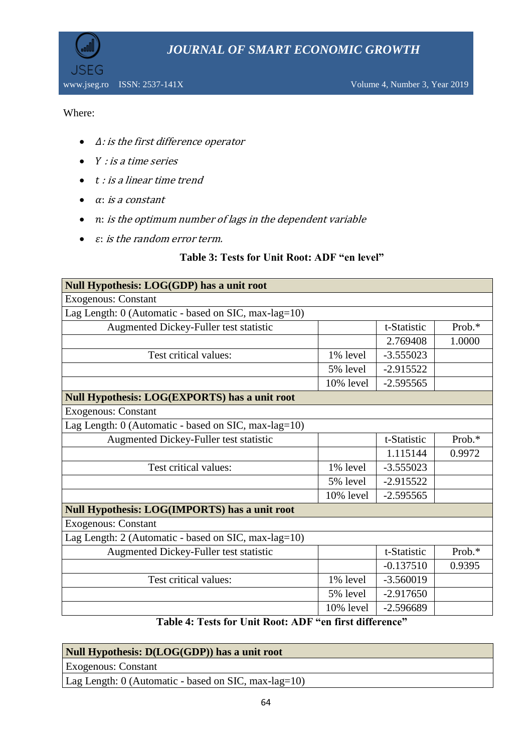

www.jseg.ro ISSN: 2537-141X Volume 4, Number 3, Year 2019

#### Where:

JSFG

- $\bullet$   $\Delta$ : is the first difference operator
- $\bullet$  Y : is a time series
- $\bullet$  t : is a linear time trend
- $\bullet$   $\alpha$ : is a constant
- : is the optimum number of lags in the dependent variable
- $\bullet$   $\varepsilon$ : is the random error term.

#### **Table 3: Tests for Unit Root: ADF "en level"**

| Null Hypothesis: LOG(GDP) has a unit root            |           |             |           |  |  |
|------------------------------------------------------|-----------|-------------|-----------|--|--|
| <b>Exogenous: Constant</b>                           |           |             |           |  |  |
| Lag Length: 0 (Automatic - based on SIC, max-lag=10) |           |             |           |  |  |
| Augmented Dickey-Fuller test statistic               |           | t-Statistic | Prob. $*$ |  |  |
|                                                      |           | 2.769408    | 1.0000    |  |  |
| Test critical values:                                | 1% level  | $-3.555023$ |           |  |  |
|                                                      | 5% level  | $-2.915522$ |           |  |  |
|                                                      | 10% level | $-2.595565$ |           |  |  |
| <b>Null Hypothesis: LOG(EXPORTS) has a unit root</b> |           |             |           |  |  |
| <b>Exogenous: Constant</b>                           |           |             |           |  |  |
| Lag Length: 0 (Automatic - based on SIC, max-lag=10) |           |             |           |  |  |
| Augmented Dickey-Fuller test statistic               |           | t-Statistic | Prob.*    |  |  |
|                                                      |           | 1.115144    | 0.9972    |  |  |
| Test critical values:                                | 1% level  | $-3.555023$ |           |  |  |
|                                                      | 5% level  | $-2.915522$ |           |  |  |
|                                                      | 10% level | $-2.595565$ |           |  |  |
| <b>Null Hypothesis: LOG(IMPORTS) has a unit root</b> |           |             |           |  |  |
| <b>Exogenous: Constant</b>                           |           |             |           |  |  |
| Lag Length: 2 (Automatic - based on SIC, max-lag=10) |           |             |           |  |  |
| Augmented Dickey-Fuller test statistic               |           | t-Statistic | Prob.*    |  |  |
|                                                      |           | $-0.137510$ | 0.9395    |  |  |
| Test critical values:                                | 1% level  | $-3.560019$ |           |  |  |
|                                                      | 5% level  | $-2.917650$ |           |  |  |
|                                                      | 10% level | $-2.596689$ |           |  |  |
|                                                      |           |             |           |  |  |

**Table 4: Tests for Unit Root: ADF "en first difference"**

| Null Hypothesis: D(LOG(GDP)) has a unit root         |
|------------------------------------------------------|
| <b>Exogenous: Constant</b>                           |
| Lag Length: 0 (Automatic - based on SIC, max-lag=10) |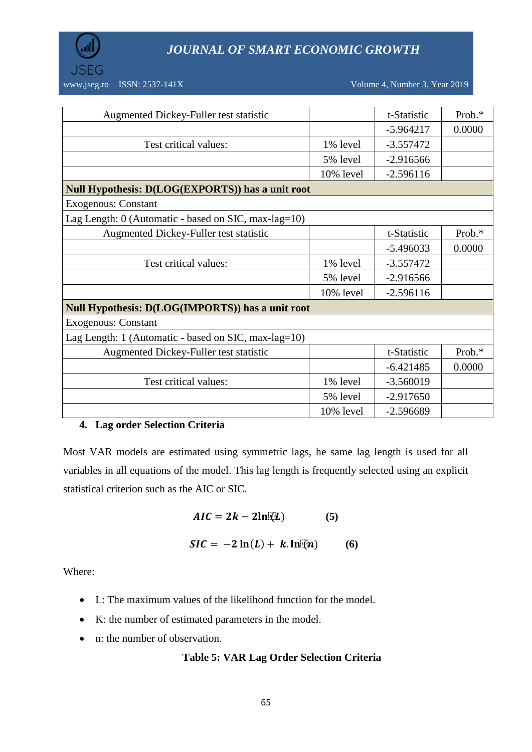

| Augmented Dickey-Fuller test statistic                     |           | t-Statistic | Prob.*    |
|------------------------------------------------------------|-----------|-------------|-----------|
|                                                            |           | $-5.964217$ | 0.0000    |
| Test critical values:                                      | 1% level  | $-3.557472$ |           |
|                                                            | 5% level  | $-2.916566$ |           |
|                                                            | 10% level | $-2.596116$ |           |
| Null Hypothesis: D(LOG(EXPORTS)) has a unit root           |           |             |           |
| <b>Exogenous: Constant</b>                                 |           |             |           |
| Lag Length: $0$ (Automatic - based on SIC, max-lag= $10$ ) |           |             |           |
| Augmented Dickey-Fuller test statistic                     |           | t-Statistic | Prob.*    |
|                                                            |           | $-5.496033$ | 0.0000    |
| Test critical values:                                      | 1% level  | $-3.557472$ |           |
|                                                            | 5% level  | $-2.916566$ |           |
|                                                            | 10% level | $-2.596116$ |           |
| <b>Null Hypothesis: D(LOG(IMPORTS)) has a unit root</b>    |           |             |           |
| <b>Exogenous: Constant</b>                                 |           |             |           |
| Lag Length: $1$ (Automatic - based on SIC, max-lag= $10$ ) |           |             |           |
| Augmented Dickey-Fuller test statistic                     |           | t-Statistic | Prob. $*$ |
|                                                            |           | $-6.421485$ | 0.0000    |
| Test critical values:                                      | 1% level  | $-3.560019$ |           |
|                                                            | 5% level  | $-2.917650$ |           |
|                                                            | 10% level | $-2.596689$ |           |

#### **4. Lag order Selection Criteria**

Most VAR models are estimated using symmetric lags, he same lag length is used for all variables in all equations of the model. This lag length is frequently selected using an explicit statistical criterion such as the AIC or SIC.

$$
AIC = 2k - 2\ln[\Omega] \tag{5}
$$

$$
SIC = -2\ln(L) + k \cdot \ln(k)
$$
 (6)

Where:

- L: The maximum values of the likelihood function for the model.
- K: the number of estimated [parameters](https://en.wikipedia.org/wiki/Parameter) in the model.
- n: the number of observation.

#### **Table 5: VAR Lag Order Selection Criteria**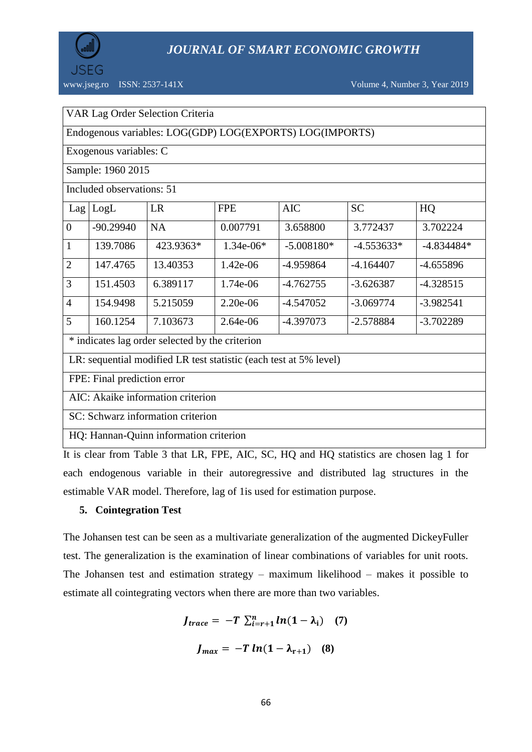

www.jseg.ro ISSN: 2537-141X Volume 4, Number 3, Year 2019

Endogenous variables: LOG(GDP) LOG(EXPORTS) LOG(IMPORTS)

Exogenous variables: C

Sample: 1960 2015

Included observations: 51

| Lag                                                                                                                                                                                                                                                                                                                                | LogL        | LR        | <b>FPE</b>  | <b>AIC</b>   | <b>SC</b>    | HQ           |
|------------------------------------------------------------------------------------------------------------------------------------------------------------------------------------------------------------------------------------------------------------------------------------------------------------------------------------|-------------|-----------|-------------|--------------|--------------|--------------|
| $\overline{0}$                                                                                                                                                                                                                                                                                                                     | $-90.29940$ | <b>NA</b> | 0.007791    | 3.658800     | 3.772437     | 3.702224     |
| $\vert$ 1                                                                                                                                                                                                                                                                                                                          | 139.7086    | 423.9363* | $1.34e-06*$ | $-5.008180*$ | $-4.553633*$ | $-4.834484*$ |
| 2                                                                                                                                                                                                                                                                                                                                  | 147.4765    | 13.40353  | $1.42e-06$  | -4.959864    | $-4.164407$  | $-4.655896$  |
| $\overline{3}$                                                                                                                                                                                                                                                                                                                     | 151.4503    | 6.389117  | 1.74e-06    | $-4.762755$  | $-3.626387$  | $-4.328515$  |
| $\overline{4}$                                                                                                                                                                                                                                                                                                                     | 154.9498    | 5.215059  | $2.20e-06$  | $-4.547052$  | $-3.069774$  | $-3.982541$  |
| 5                                                                                                                                                                                                                                                                                                                                  | 160.1254    | 7.103673  | $2.64e-06$  | $-4.397073$  | $-2.578884$  | $-3.702289$  |
| * indicates lag order selected by the criterion                                                                                                                                                                                                                                                                                    |             |           |             |              |              |              |
| LR: sequential modified LR test statistic (each test at 5% level)                                                                                                                                                                                                                                                                  |             |           |             |              |              |              |
| FPE: Final prediction error                                                                                                                                                                                                                                                                                                        |             |           |             |              |              |              |
| $\mathbf{1}$ $\mathbf{1}$ $\mathbf{1}$ $\mathbf{1}$ $\mathbf{1}$ $\mathbf{1}$ $\mathbf{1}$ $\mathbf{1}$ $\mathbf{1}$ $\mathbf{1}$ $\mathbf{1}$ $\mathbf{1}$ $\mathbf{1}$ $\mathbf{1}$ $\mathbf{1}$ $\mathbf{1}$ $\mathbf{1}$ $\mathbf{1}$ $\mathbf{1}$ $\mathbf{1}$ $\mathbf{1}$ $\mathbf{1}$ $\mathbf{1}$ $\mathbf{1}$ $\mathbf{$ |             |           |             |              |              |              |

AIC: Akaike information criterion

SC: Schwarz information criterion

HQ: Hannan-Quinn information criterion

It is clear from Table 3 that LR, FPE, AIC, SC, HQ and HQ statistics are chosen lag 1 for each endogenous variable in their autoregressive and distributed lag structures in the estimable VAR model. Therefore, lag of 1is used for estimation purpose.

#### **5. Cointegration Test**

The Johansen test can be seen as a multivariate generalization of the augmented DickeyFuller test. The generalization is the examination of linear combinations of variables for unit roots. The Johansen test and estimation strategy – maximum likelihood – makes it possible to estimate all cointegrating vectors when there are more than two variables.

$$
J_{trace} = -T \sum_{i=r+1}^{n} ln(1 - \lambda_{i}) \quad (7)
$$

$$
J_{max} = -T ln(1 - \lambda_{r+1}) \quad (8)
$$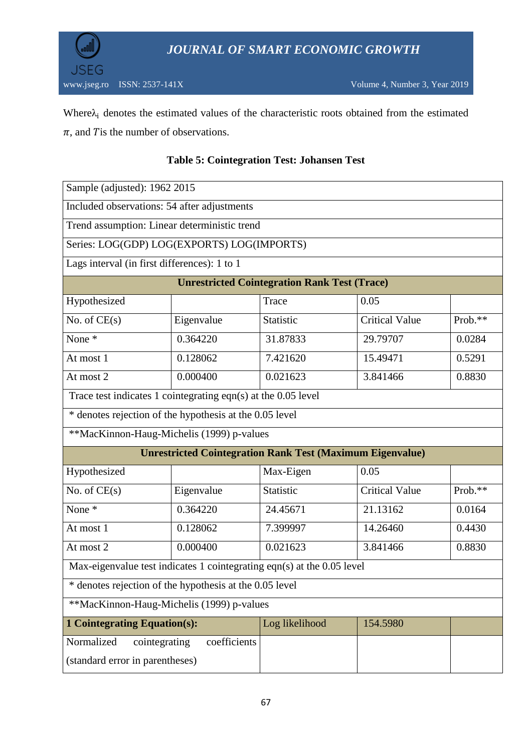

Where $\lambda_i$  denotes the estimated values of the characteristic roots obtained from the estimated  $\pi$ , and T is the number of observations.

| Sample (adjusted): 1962 2015                                           |                                                         |                |                       |         |  |  |
|------------------------------------------------------------------------|---------------------------------------------------------|----------------|-----------------------|---------|--|--|
| Included observations: 54 after adjustments                            |                                                         |                |                       |         |  |  |
|                                                                        | Trend assumption: Linear deterministic trend            |                |                       |         |  |  |
| Series: LOG(GDP) LOG(EXPORTS) LOG(IMPORTS)                             |                                                         |                |                       |         |  |  |
| Lags interval (in first differences): 1 to 1                           |                                                         |                |                       |         |  |  |
|                                                                        | <b>Unrestricted Cointegration Rank Test (Trace)</b>     |                |                       |         |  |  |
| Hypothesized                                                           |                                                         | Trace          | 0.05                  |         |  |  |
| No. of $CE(s)$                                                         | Eigenvalue                                              | Statistic      | <b>Critical Value</b> | Prob.** |  |  |
| None *                                                                 | 0.364220                                                | 31.87833       | 29.79707              | 0.0284  |  |  |
| At most 1                                                              | 0.128062                                                | 7.421620       | 15.49471              | 0.5291  |  |  |
| At most 2                                                              | 0.000400                                                | 0.021623       | 3.841466              | 0.8830  |  |  |
| Trace test indicates 1 cointegrating eqn(s) at the 0.05 level          |                                                         |                |                       |         |  |  |
|                                                                        | * denotes rejection of the hypothesis at the 0.05 level |                |                       |         |  |  |
| **MacKinnon-Haug-Michelis (1999) p-values                              |                                                         |                |                       |         |  |  |
| <b>Unrestricted Cointegration Rank Test (Maximum Eigenvalue)</b>       |                                                         |                |                       |         |  |  |
| Hypothesized                                                           |                                                         | Max-Eigen      | 0.05                  |         |  |  |
| No. of $CE(s)$                                                         | Eigenvalue                                              | Statistic      | <b>Critical Value</b> | Prob.** |  |  |
| None *                                                                 | 0.364220                                                | 24.45671       | 21.13162              | 0.0164  |  |  |
| At most 1                                                              | 0.128062                                                | 7.399997       | 14.26460              | 0.4430  |  |  |
| At most 2                                                              | 0.000400                                                | 0.021623       | 3.841466              | 0.8830  |  |  |
| Max-eigenvalue test indicates 1 cointegrating eqn(s) at the 0.05 level |                                                         |                |                       |         |  |  |
| * denotes rejection of the hypothesis at the 0.05 level                |                                                         |                |                       |         |  |  |
| **MacKinnon-Haug-Michelis (1999) p-values                              |                                                         |                |                       |         |  |  |
| <b>1 Cointegrating Equation(s):</b>                                    |                                                         | Log likelihood | 154.5980              |         |  |  |
| Normalized<br>cointegrating                                            | coefficients                                            |                |                       |         |  |  |
| (standard error in parentheses)                                        |                                                         |                |                       |         |  |  |

### **Table 5: Cointegration Test: Johansen Test**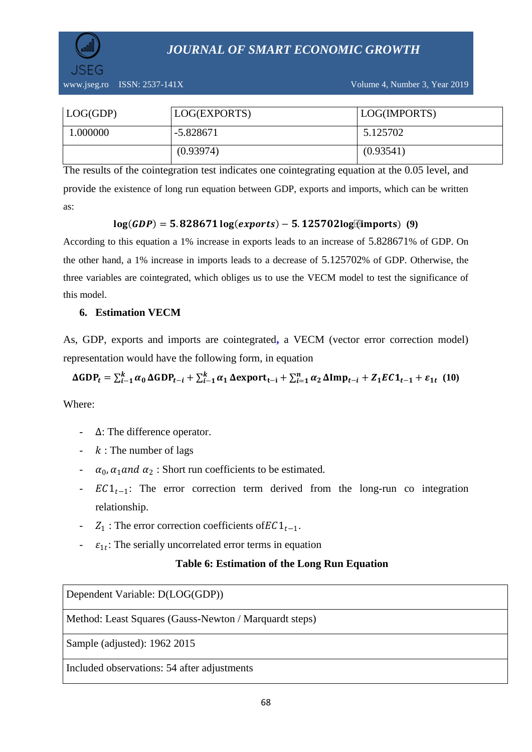

| LOG(GDP) | LOG(EXPORTS) | LOG(IMPORTS) |
|----------|--------------|--------------|
| 1.000000 | $-5.828671$  | 5.125702     |
|          | (0.93974)    | (0.93541)    |

The results of the cointegration test indicates one cointegrating equation at the 0.05 level, and provide the existence of long run equation between GDP, exports and imports, which can be written as:

#### $log(GDP) = 5.828671log(exports) - 5.125702log{x$

According to this equation a 1% increase in exports leads to an increase of 5.828671% of GDP. On the other hand, a 1% increase in imports leads to a decrease of 5.125702% of GDP. Otherwise, the three variables are cointegrated, which obliges us to use the VECM model to test the significance of this model.

#### **6. Estimation VECM**

As, GDP, exports and imports are cointegrated**,** a VECM (vector error correction model) representation would have the following form, in equation

$$
\Delta GDP_t = \sum_{i=1}^k \alpha_0 \Delta GDP_{t-i} + \sum_{i=1}^k \alpha_1 \Delta export_{t-i} + \sum_{i=1}^n \alpha_2 \Delta Imp_{t-i} + Z_1EC1_{t-1} + \varepsilon_{1t} (10)
$$

Where:

- ∆: The difference operator.
- $-k$ : The number of lags
- $a_0$ ,  $\alpha_1$  and  $\alpha_2$ : Short run coefficients to be estimated.
- $\text{EC1}_{t-1}$ : The error correction term derived from the long-run co integration relationship.
- $Z_1$ : The error correction coefficients of  $EC1_{t-1}$ .
- $\epsilon_1$ : The serially uncorrelated error terms in equation

#### **Table 6: Estimation of the Long Run Equation**

Dependent Variable: D(LOG(GDP))

Method: Least Squares (Gauss-Newton / Marquardt steps)

Sample (adjusted): 1962 2015

Included observations: 54 after adjustments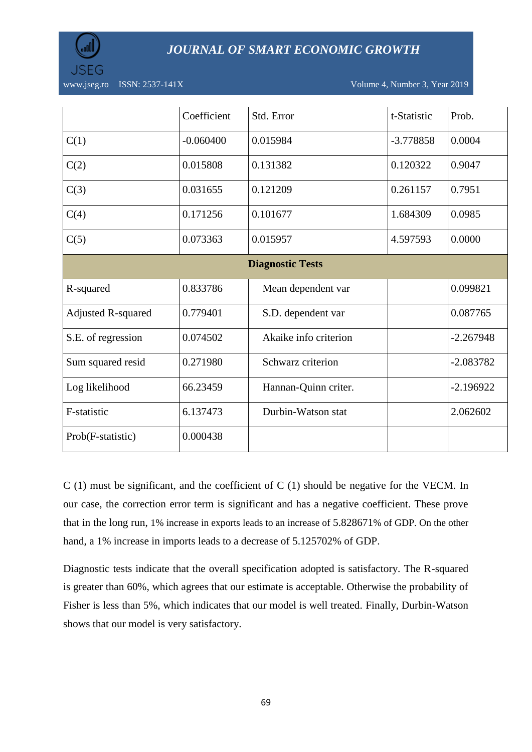

www.jseg.ro ISSN: 2537-141X Volume 4, Number 3, Year 2019

|                           | Coefficient | Std. Error            | t-Statistic | Prob.       |  |  |
|---------------------------|-------------|-----------------------|-------------|-------------|--|--|
| C(1)                      | $-0.060400$ | 0.015984              | $-3.778858$ | 0.0004      |  |  |
| C(2)                      | 0.015808    | 0.131382              | 0.120322    | 0.9047      |  |  |
| C(3)                      | 0.031655    | 0.121209              | 0.261157    | 0.7951      |  |  |
| C(4)                      | 0.171256    | 0.101677              | 1.684309    | 0.0985      |  |  |
| C(5)                      | 0.073363    | 0.015957              | 4.597593    | 0.0000      |  |  |
| <b>Diagnostic Tests</b>   |             |                       |             |             |  |  |
| R-squared                 | 0.833786    | Mean dependent var    |             | 0.099821    |  |  |
| <b>Adjusted R-squared</b> | 0.779401    | S.D. dependent var    |             | 0.087765    |  |  |
| S.E. of regression        | 0.074502    | Akaike info criterion |             | $-2.267948$ |  |  |
| Sum squared resid         | 0.271980    | Schwarz criterion     |             | $-2.083782$ |  |  |
| Log likelihood            | 66.23459    | Hannan-Quinn criter.  |             | $-2.196922$ |  |  |
| F-statistic               | 6.137473    | Durbin-Watson stat    |             | 2.062602    |  |  |
| Prob(F-statistic)         | 0.000438    |                       |             |             |  |  |

 $C(1)$  must be significant, and the coefficient of  $C(1)$  should be negative for the VECM. In our case, the correction error term is significant and has a negative coefficient. These prove that in the long run, 1% increase in exports leads to an increase of 5.828671% of GDP. On the other hand, a 1% increase in imports leads to a decrease of 5.125702% of GDP.

Diagnostic tests indicate that the overall specification adopted is satisfactory. The R-squared is greater than 60%, which agrees that our estimate is acceptable. Otherwise the probability of Fisher is less than 5%, which indicates that our model is well treated. Finally, Durbin-Watson shows that our model is very satisfactory.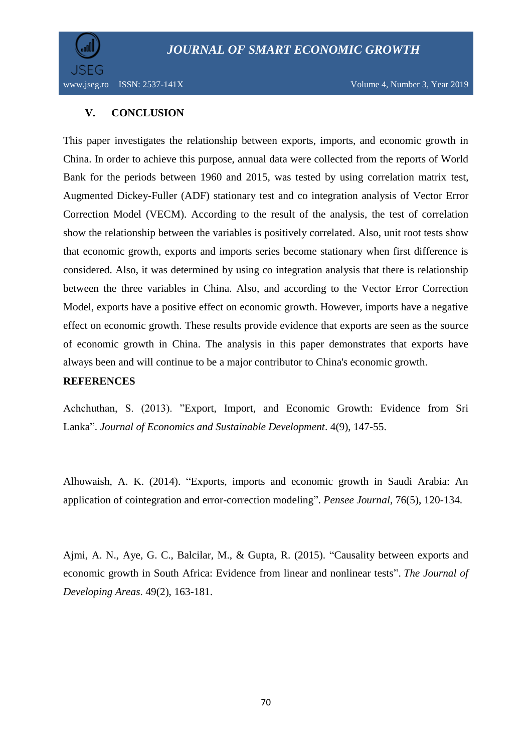

#### **V. CONCLUSION**

This paper investigates the relationship between exports, imports, and economic growth in China. In order to achieve this purpose, annual data were collected from the reports of World Bank for the periods between 1960 and 2015, was tested by using correlation matrix test, Augmented Dickey-Fuller (ADF) stationary test and co integration analysis of Vector Error Correction Model (VECM). According to the result of the analysis, the test of correlation show the relationship between the variables is positively correlated. Also, unit root tests show that economic growth, exports and imports series become stationary when first difference is considered. Also, it was determined by using co integration analysis that there is relationship between the three variables in China. Also, and according to the Vector Error Correction Model, exports have a positive effect on economic growth. However, imports have a negative effect on economic growth. These results provide evidence that exports are seen as the source of economic growth in China. The analysis in this paper demonstrates that exports have always been and will continue to be a major contributor to China's economic growth.

#### **REFERENCES**

Achchuthan, S. (2013). "Export, Import, and Economic Growth: Evidence from Sri Lanka". *Journal of Economics and Sustainable Development*. 4(9), 147-55.

Alhowaish, A. K. (2014). "Exports, imports and economic growth in Saudi Arabia: An application of cointegration and error-correction modeling". *Pensee Journal*, 76(5), 120-134.

Ajmi, A. N., Aye, G. C., Balcilar, M., & Gupta, R. (2015). "Causality between exports and economic growth in South Africa: Evidence from linear and nonlinear tests". *The Journal of Developing Areas*. 49(2), 163-181.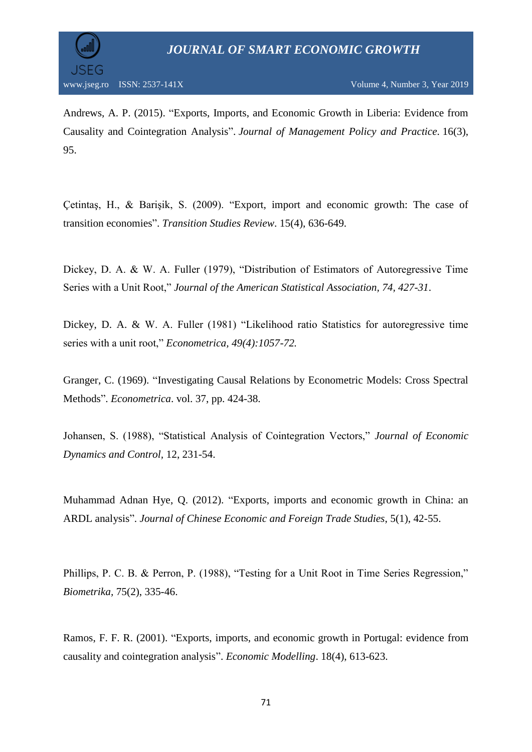

Andrews, A. P. (2015). "Exports, Imports, and Economic Growth in Liberia: Evidence from Causality and Cointegration Analysis". *Journal of Management Policy and Practice.* 16(3), 95.

Çetintaş, H., & Barişik, S. (2009). "Export, import and economic growth: The case of transition economies". *Transition Studies Review*. 15(4), 636-649.

Dickey, D. A. & W. A. Fuller (1979), "Distribution of Estimators of Autoregressive Time Series with a Unit Root," *Journal of the American Statistical Association, 74, 427-31*.

Dickey, D. A. & W. A. Fuller (1981) "Likelihood ratio Statistics for autoregressive time series with a unit root," *Econometrica, 49(4):1057-72.*

Granger, C. (1969). "Investigating Causal Relations by Econometric Models: Cross Spectral Methods". *Econometrica*. vol. 37, pp. 424-38.

Johansen, S. (1988), "Statistical Analysis of Cointegration Vectors," *Journal of Economic Dynamics and Control,* 12, 231-54.

Muhammad Adnan Hye, Q. (2012). "Exports, imports and economic growth in China: an ARDL analysis". *Journal of Chinese Economic and Foreign Trade Studies*, 5(1), 42-55.

Phillips, P. C. B. & Perron, P. (1988), "Testing for a Unit Root in Time Series Regression," *Biometrika,* 75(2), 335-46.

Ramos, F. F. R. (2001). "Exports, imports, and economic growth in Portugal: evidence from causality and cointegration analysis". *Economic Modelling*. 18(4), 613-623.